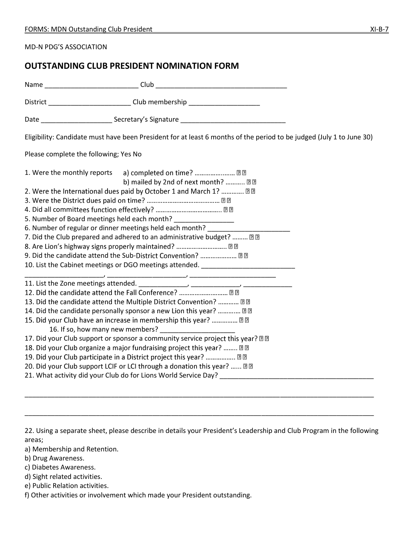MD-N PDG'S ASSOCIATION

## **OUTSTANDING CLUB PRESIDENT NOMINATION FORM**

|                                                                                                                                                                                                                                                                                                                                                                                                                                                                                                                                                                                                                                                                                                                                                                                     | District _____________________________Club membership __________________________                                                                                                                                                                                                                                                                                                                                                                       |  |
|-------------------------------------------------------------------------------------------------------------------------------------------------------------------------------------------------------------------------------------------------------------------------------------------------------------------------------------------------------------------------------------------------------------------------------------------------------------------------------------------------------------------------------------------------------------------------------------------------------------------------------------------------------------------------------------------------------------------------------------------------------------------------------------|--------------------------------------------------------------------------------------------------------------------------------------------------------------------------------------------------------------------------------------------------------------------------------------------------------------------------------------------------------------------------------------------------------------------------------------------------------|--|
|                                                                                                                                                                                                                                                                                                                                                                                                                                                                                                                                                                                                                                                                                                                                                                                     |                                                                                                                                                                                                                                                                                                                                                                                                                                                        |  |
|                                                                                                                                                                                                                                                                                                                                                                                                                                                                                                                                                                                                                                                                                                                                                                                     | Eligibility: Candidate must have been President for at least 6 months of the period to be judged (July 1 to June 30)                                                                                                                                                                                                                                                                                                                                   |  |
| Please complete the following; Yes No                                                                                                                                                                                                                                                                                                                                                                                                                                                                                                                                                                                                                                                                                                                                               |                                                                                                                                                                                                                                                                                                                                                                                                                                                        |  |
| 5. Number of Board meetings held each month? _________________<br>6. Number of regular or dinner meetings held each month?                                                                                                                                                                                                                                                                                                                                                                                                                                                                                                                                                                                                                                                          | 1. Were the monthly reports a) completed on time?  22<br>b) mailed by 2nd of next month?  22<br>2. Were the International dues paid by October 1 and March 1?  22<br>7. Did the Club prepared and adhered to an administrative budget?  22<br>8. Are Lion's highway signs properly maintained?  22<br>9. Did the candidate attend the Sub-District Convention?  22<br>10. List the Cabinet meetings or DGO meetings attended. ________________________ |  |
| <u> 1980 - 1980 - 1980 - 1980 - 1980 - 1980 - 1980 - 1980 - 1980 - 1980 - 1980 - 1980 - 1980 - 1980 - 1980 - 1980</u><br>12. Did the candidate attend the Fall Conference?  2 2<br>13. Did the candidate attend the Multiple District Convention?  22<br>14. Did the candidate personally sponsor a new Lion this year?  22<br>15. Did your Club have an increase in membership this year?  22<br>17. Did your Club support or sponsor a community service project this year? 22<br>18. Did your Club organize a major fundraising project this year?  ??<br>19. Did your Club participate in a District project this year?  22<br>20. Did your Club support LCIF or LCI through a donation this year? <b>DD</b><br>21. What activity did your Club do for Lions World Service Day? |                                                                                                                                                                                                                                                                                                                                                                                                                                                        |  |

22. Using a separate sheet, please describe in details your President's Leadership and Club Program in the following areas;

\_\_\_\_\_\_\_\_\_\_\_\_\_\_\_\_\_\_\_\_\_\_\_\_\_\_\_\_\_\_\_\_\_\_\_\_\_\_\_\_\_\_\_\_\_\_\_\_\_\_\_\_\_\_\_\_\_\_\_\_\_\_\_\_\_\_\_\_\_\_\_\_\_\_\_\_\_\_\_\_\_\_\_\_\_\_\_\_\_\_\_\_\_

\_\_\_\_\_\_\_\_\_\_\_\_\_\_\_\_\_\_\_\_\_\_\_\_\_\_\_\_\_\_\_\_\_\_\_\_\_\_\_\_\_\_\_\_\_\_\_\_\_\_\_\_\_\_\_\_\_\_\_\_\_\_\_\_\_\_\_\_\_\_\_\_\_\_\_\_\_\_\_\_\_\_\_\_\_\_\_\_\_\_\_\_\_

- a) Membership and Retention.
- b) Drug Awareness.
- c) Diabetes Awareness.
- d) Sight related activities.
- e) Public Relation activities.

f) Other activities or involvement which made your President outstanding.